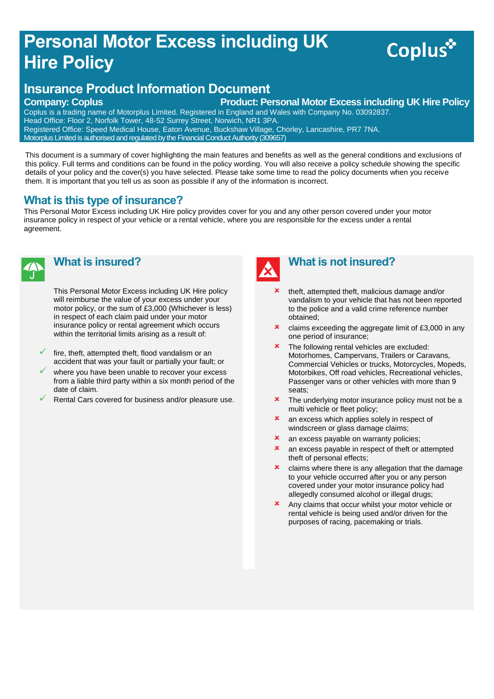# **Personal Motor Excess including UK Hire Policy**

# Coplus<sup>\*</sup>

### **Insurance Product Information Document**

**Company: Coplus Product: Personal Motor Excess including UK Hire Policy** 

Coplus is a trading name of Motorplus Limited. Registered in England and Wales with Company No. 03092837. Head Office: Floor 2, Norfolk Tower, 48-52 Surrey Street, Norwich, NR1 3PA. Registered Office: Speed Medical House, Eaton Avenue, Buckshaw Village, Chorley, Lancashire, PR7 7NA. Motorplus Limited is authorised and regulated by the Financial Conduct Authority (309657)

This document is a summary of cover highlighting the main features and benefits as well as the general conditions and exclusions of this policy. Full terms and conditions can be found in the policy wording. You will also receive a policy schedule showing the specific details of your policy and the cover(s) you have selected. Please take some time to read the policy documents when you receive them. It is important that you tell us as soon as possible if any of the information is incorrect.

#### **What is this type of insurance?**

This Personal Motor Excess including UK Hire policy provides cover for you and any other person covered under your motor insurance policy in respect of your vehicle or a rental vehicle, where you are responsible for the excess under a rental agreement.



#### **What is insured?**

This Personal Motor Excess including UK Hire policy will reimburse the value of your excess under your motor policy, or the sum of £3,000 (Whichever is less) in respect of each claim paid under your motor insurance policy or rental agreement which occurs within the territorial limits arising as a result of:

- fire, theft, attempted theft, flood vandalism or an accident that was your fault or partially your fault; or
- where you have been unable to recover your excess from a liable third party within a six month period of the date of claim.
- Rental Cars covered for business and/or pleasure use.



#### **What is not insured?**

- theft, attempted theft, malicious damage and/or vandalism to your vehicle that has not been reported to the police and a valid crime reference number obtained;
- **x** claims exceeding the aggregate limit of £3,000 in any one period of insurance;
- **\*** The following rental vehicles are excluded: Motorhomes, Campervans, Trailers or Caravans, Commercial Vehicles or trucks, Motorcycles, Mopeds, Motorbikes, Off road vehicles, Recreational vehicles, Passenger vans or other vehicles with more than 9 seats;
- **\*** The underlying motor insurance policy must not be a multi vehicle or fleet policy;
- **x** an excess which applies solely in respect of windscreen or glass damage claims;
- **x** an excess payable on warranty policies;
- **x** an excess payable in respect of theft or attempted theft of personal effects;
- $\boldsymbol{\times}$  claims where there is any allegation that the damage to your vehicle occurred after you or any person covered under your motor insurance policy had allegedly consumed alcohol or illegal drugs;
- **x** Any claims that occur whilst your motor vehicle or rental vehicle is being used and/or driven for the purposes of racing, pacemaking or trials.